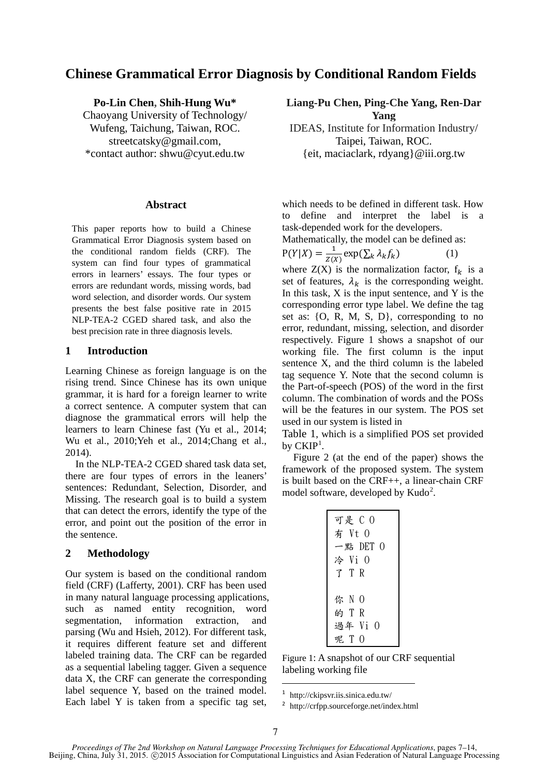# **Chinese Grammatical Error Diagnosis by Conditional Random Fields**

**Po-Lin Chen, Shih-Hung Wu\*** Chaoyang University of Technology/ Wufeng, Taichung, Taiwan, ROC. streetcatsky@gmail.com, \*contact author: shwu@cyut.edu.tw

#### **Abstract**

This paper reports how to build a Chinese Grammatical Error Diagnosis system based on the conditional random fields (CRF). The system can find four types of grammatical errors in learners' essays. The four types or errors are redundant words, missing words, bad word selection, and disorder words. Our system presents the best false positive rate in 2015 NLP-TEA-2 CGED shared task, and also the best precision rate in three diagnosis levels.

## **1 Introduction**

Learning Chinese as foreign language is on the rising trend. Since Chinese has its own unique grammar, it is hard for a foreign learner to write a correct sentence. A computer system that can diagnose the grammatical errors will help the learners to learn Chinese fast (Yu et al., 2014; Wu et al., 2010;Yeh et al., 2014;Chang et al., 2014).

In the NLP-TEA-2 CGED shared task data set, there are four types of errors in the leaners' sentences: Redundant, Selection, Disorder, and Missing. The research goal is to build a system that can detect the errors, identify the type of the error, and point out the position of the error in the sentence.

## **2 Methodology**

Our system is based on the conditional random field (CRF) (Lafferty, 2001). CRF has been used in many natural language processing applications, such as named entity recognition, word segmentation, information extraction, and parsing (Wu and Hsieh, 2012). For different task, it requires different feature set and different labeled training data. The CRF can be regarded as a sequential labeling tagger. Given a sequence data X, the CRF can generate the corresponding label sequence Y, based on the trained model. Each label Y is taken from a specific tag set,

**Liang-Pu Chen, Ping-Che Yang, Ren-Dar Yang** 

IDEAS, Institute for Information Industry/ Taipei, Taiwan, ROC. {eit, maciaclark, rdyang}@iii.org.tw

which needs to be defined in different task. How to define and interpret the label is a task-depended work for the developers.

Mathematically, the model can be defined as:

$$
P(Y|X) = \frac{1}{Z(X)} \exp(\sum_{k} \lambda_{k} f_{k})
$$
 (1)

where  $Z(X)$  is the normalization factor,  $f_k$  is a set of features,  $\lambda_k$  is the corresponding weight. In this task,  $X$  is the input sentence, and  $Y$  is the corresponding error type label. We define the tag set as: {O, R, M, S, D}, corresponding to no error, redundant, missing, selection, and disorder respectively. Figure 1 shows a snapshot of our working file. The first column is the input sentence X, and the third column is the labeled tag sequence Y. Note that the second column is the Part-of-speech (POS) of the word in the first column. The combination of words and the POSs will be the features in our system. The POS set used in our system is listed in

Table 1, which is a simplified POS set provided by  $\mathrm{CKIP}^1$ .

Figure 2 (at the end of the paper) shows the framework of the proposed system. The system is built based on the CRF++, a linear-chain CRF model software, developed by Kudo<sup>2</sup>.

| 一點 DET $0$<br>冷 Vi O<br>了 T R |
|-------------------------------|
| 你 N 0<br>的 T R<br>過年 Vi O     |

Figure 1: A snapshot of our CRF sequential labeling working file

1 http://ckipsvr.iis.sinica.edu.tw/

<sup>2</sup> http://crfpp.sourceforge.net/index.html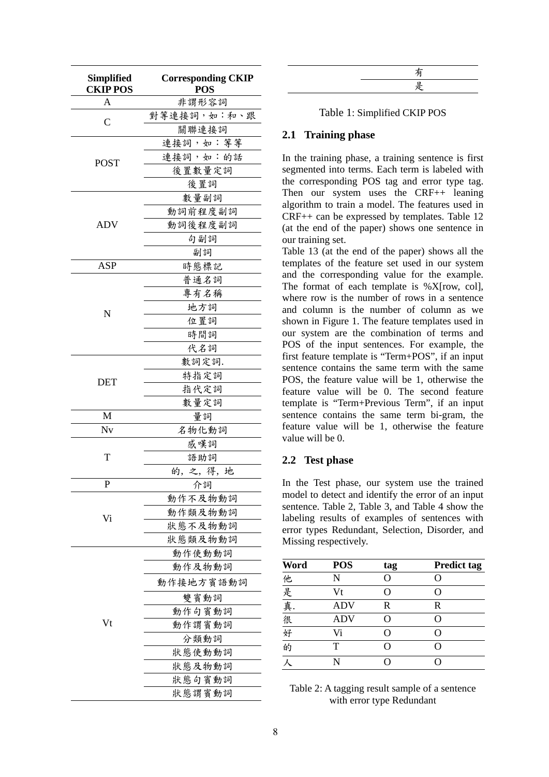| Simplified<br><b>CKIP POS</b> | <b>Corresponding CKIP</b><br><b>POS</b> |  |  |  |
|-------------------------------|-----------------------------------------|--|--|--|
| A                             | 非謂形容詞                                   |  |  |  |
| C                             | 對等連接詞,如:和、跟                             |  |  |  |
|                               | 關聯連接詞                                   |  |  |  |
|                               | 連接詞,如: 等等                               |  |  |  |
| <b>POST</b>                   | 連接詞,如:的話                                |  |  |  |
|                               | 後置數量定詞                                  |  |  |  |
|                               | 後置詞                                     |  |  |  |
|                               | 數量副詞                                    |  |  |  |
|                               | 動詞前程度副詞                                 |  |  |  |
| <b>ADV</b>                    | 動詞後程度副詞                                 |  |  |  |
|                               | 句副詞                                     |  |  |  |
|                               | 副詞                                      |  |  |  |
| ASP                           | 時態標記                                    |  |  |  |
|                               | 普通名詞                                    |  |  |  |
|                               | 專有名稱                                    |  |  |  |
| N                             | 地方詞                                     |  |  |  |
|                               | 位置詞                                     |  |  |  |
|                               | 時間詞                                     |  |  |  |
|                               | 代名詞                                     |  |  |  |
|                               | 數詞定詞.                                   |  |  |  |
|                               | 特指定詞                                    |  |  |  |
| DET                           | 指代定詞                                    |  |  |  |
|                               | 數量定詞                                    |  |  |  |
| M                             | 量詞                                      |  |  |  |
| Nv                            | 名物化動詞                                   |  |  |  |
|                               | 感嘆詞                                     |  |  |  |
| T                             | 語助詞                                     |  |  |  |
|                               | 的,之,得,地                                 |  |  |  |
| Р                             | 介詞                                      |  |  |  |
|                               | 動作不及物動詞                                 |  |  |  |
| Vi                            | 動作類及物動詞                                 |  |  |  |
|                               | 狀態不及物動詞                                 |  |  |  |
|                               | 狀態類及物動詞                                 |  |  |  |
|                               | 動作使動動詞                                  |  |  |  |
|                               | 動作及物動詞                                  |  |  |  |
|                               | 動作接地方賓語動詞                               |  |  |  |
|                               | 雙賓動詞                                    |  |  |  |
|                               | 動作句賓動詞                                  |  |  |  |
| Vt                            | 動作謂賓動詞                                  |  |  |  |
|                               | 分類動詞                                    |  |  |  |
|                               | 狀態使動動詞                                  |  |  |  |
|                               | 狀態及物動詞                                  |  |  |  |
|                               | 狀態句賓動詞                                  |  |  |  |
|                               | 狀態謂賓動詞                                  |  |  |  |

#### Table 1: Simplified CKIP POS

## **2.1 Training phase**

In the training phase, a training sentence is first segmented into terms. Each term is labeled with the corresponding POS tag and error type tag. Then our system uses the CRF++ leaning algorithm to train a model. The features used in CRF++ can be expressed by templates. Table 12 (at the end of the paper) shows one sentence in our training set.

Table 13 (at the end of the paper) shows all the templates of the feature set used in our system and the corresponding value for the example. The format of each template is %X[row, col], where row is the number of rows in a sentence and column is the number of column as we shown in Figure 1. The feature templates used in our system are the combination of terms and POS of the input sentences. For example, the first feature template is "Term+POS", if an input sentence contains the same term with the same POS, the feature value will be 1, otherwise the feature value will be 0. The second feature template is "Term+Previous Term", if an input sentence contains the same term bi-gram, the feature value will be 1, otherwise the feature value will be 0.

## **2.2 Test phase**

In the Test phase, our system use the trained model to detect and identify the error of an input sentence. Table 2, Table 3, and Table 4 show the labeling results of examples of sentences with error types Redundant, Selection, Disorder, and Missing respectively.

| Word   | <b>POS</b> | tag | <b>Predict tag</b> |
|--------|------------|-----|--------------------|
|        | N          | O   |                    |
|        | Vt         | ( ) | 0                  |
| 他是真很好的 | <b>ADV</b> | R   | R                  |
|        | <b>ADV</b> | 0   | $\left( \right)$   |
|        | Vi         | ( ) | ( )                |
|        |            | O   | O                  |
|        |            |     |                    |

Table 2: A tagging result sample of a sentence with error type Redundant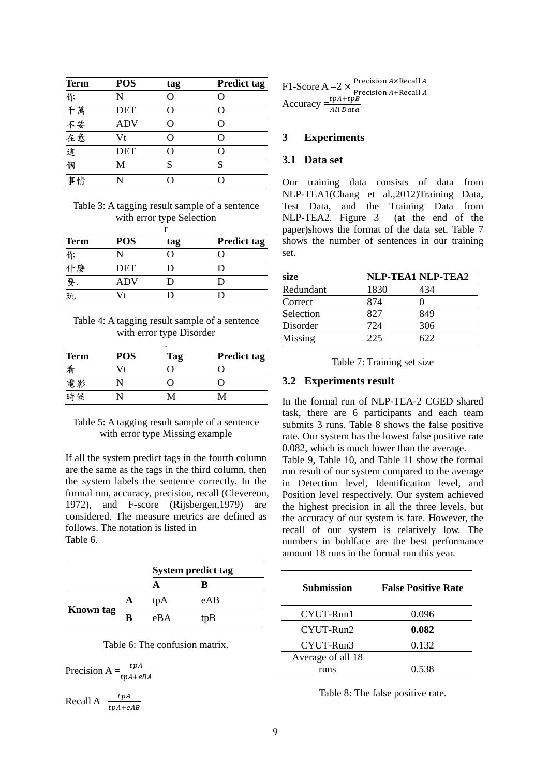| <b>Term</b> | <b>POS</b> | tag | <b>Predict tag</b> |
|-------------|------------|-----|--------------------|
|             | N          | ∩   | ( )                |
|             | <b>DET</b> |     | O                  |
|             | <b>ADV</b> | ( ) | $\epsilon$         |
| 你千不在這個      | Vt         |     | ∩                  |
|             | <b>DET</b> | ( ) | $\epsilon$         |
|             | M          | S   | S                  |
|             |            |     |                    |

Table 3: A tagging result sample of a sentence with error type Selection

| <b>Term</b> | <b>POS</b> | tag | <b>Predict tag</b> |  |  |
|-------------|------------|-----|--------------------|--|--|
| 你           |            |     |                    |  |  |
| 什麼          | DET        | D   |                    |  |  |
| 要.<br>玩     | ADV        | D   |                    |  |  |
|             | Vt         | ו ו |                    |  |  |

Table 4: A tagging result sample of a sentence with error type Disorder

| ٠           |            |     |                    |  |  |
|-------------|------------|-----|--------------------|--|--|
| <b>Term</b> | <b>POS</b> | Tag | <b>Predict tag</b> |  |  |
| 看           | Vt         | 0   |                    |  |  |
| 電影          |            | 0   |                    |  |  |
| 時候          |            | м   |                    |  |  |

## Table 5: A tagging result sample of a sentence with error type Missing example

If all the system predict tags in the fourth column are the same as the tags in the third column, then the system labels the sentence correctly. In the formal run, accuracy, precision, recall (Clevereon, 1972), and F-score (Rijsbergen,1979) are considered. The measure metrics are defined as follows. The notation is listed in Table 6.

|                  |   | <b>System predict tag</b> |     |  |
|------------------|---|---------------------------|-----|--|
|                  |   |                           | ĸ   |  |
| <b>Known</b> tag |   | tpA                       | eAB |  |
|                  | R | eBA                       | tpB |  |

Table 6: The confusion matrix.

Precision A  $=\frac{tpA}{tpA+eB}$ 

Recall  $A = \frac{tpA}{tpA+eAB}$ 

 $F1$ -Score A = 2  $\times \frac{Precision A \times Recall}{Precision A + Recall}$ Precision  $A + \text{Recall}$ <br>Accuracy  $= \frac{tpA + tpB}{All Data}$ 

## **3 Experiments**

## **3.1 Data set**

Our training data consists of data from NLP-TEA1(Chang et al.,2012)Training Data, Test Data, and the Training Data from<br>NLP-TEA2. Figure 3 (at the end of the  $NLP-TEA2.$  Figure 3 paper)shows the format of the data set. Table 7 shows the number of sentences in our training set.

| <b>NLP-TEA1 NLP-TEA2</b> |     |  |
|--------------------------|-----|--|
| 1830                     | 434 |  |
| 874                      |     |  |
| 827                      | 849 |  |
| 724                      | 306 |  |
| 225                      | 522 |  |
|                          |     |  |

| Table 7: Training set size |  |  |  |  |  |
|----------------------------|--|--|--|--|--|
|----------------------------|--|--|--|--|--|

## **3.2 Experiments result**

In the formal run of NLP-TEA-2 CGED shared task, there are 6 participants and each team submits 3 runs. Table 8 shows the false positive rate. Our system has the lowest false positive rate 0.082, which is much lower than the average.

Table 9, Table 10, and Table 11 show the formal run result of our system compared to the average in Detection level, Identification level, and Position level respectively. Our system achieved the highest precision in all the three levels, but the accuracy of our system is fare. However, the recall of our system is relatively low. The numbers in boldface are the best performance amount 18 runs in the formal run this year.

| <b>Submission</b> | <b>False Positive Rate</b> |
|-------------------|----------------------------|
| CYUT-Run1         | 0.096                      |
| CYUT-Run2         | 0.082                      |
| CYUT-Run3         | 0.132                      |
| Average of all 18 |                            |
| runs              | 0.538                      |

Table 8: The false positive rate.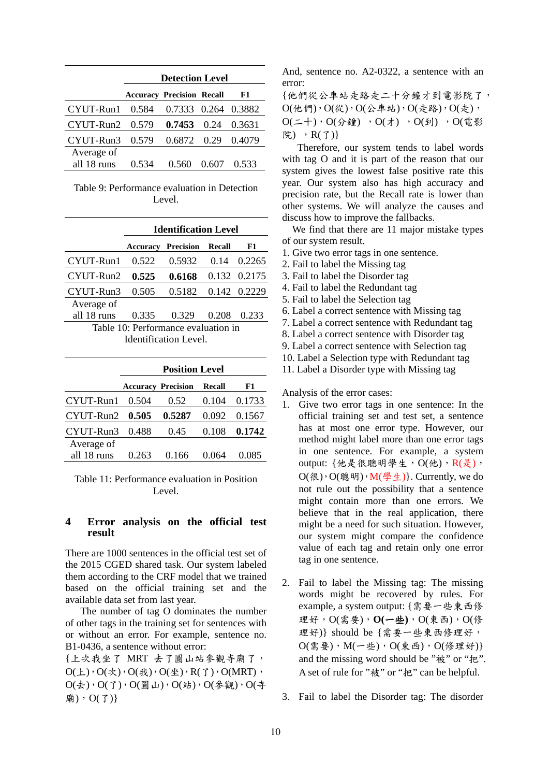|                   | <b>Detection Level</b>                 |                     |         |        |  |  |
|-------------------|----------------------------------------|---------------------|---------|--------|--|--|
|                   | <b>Accuracy Precision Recall</b><br>F1 |                     |         |        |  |  |
| $CYUT-Run1$ 0.584 |                                        | 0.7333 0.264 0.3882 |         |        |  |  |
| $CYUT-Run2$ 0.579 |                                        | $0.7453 \quad 0.24$ |         | 0.3631 |  |  |
| CYUT-Run3         | 0.579                                  | 0.6872 0.29 0.4079  |         |        |  |  |
| Average of        |                                        |                     |         |        |  |  |
| all 18 runs       | 0.534                                  | 0.560               | (1.607) | 0.533  |  |  |

Table 9: Performance evaluation in Detection Level.

|                                     | <b>Identification Level</b> |                           |        |                 |
|-------------------------------------|-----------------------------|---------------------------|--------|-----------------|
|                                     |                             | <b>Accuracy Precision</b> | Recall | F1              |
| CYUT-Run1                           | 0.522                       | 0.5932                    |        | $0.14$ $0.2265$ |
| CYUT-Run2                           | 0.525                       | 0.6168                    |        | 0.132 0.2175    |
| CYUT-Run3                           | 0.505                       | 0.5182                    |        | 0.142 0.2229    |
| Average of                          |                             |                           |        |                 |
| all 18 runs                         | 0.335                       | 0.329                     | 0.208  | 0.233           |
| Table 10: Performance evaluation in |                             |                           |        |                 |
| Identification Level.               |                             |                           |        |                 |

|                   | <b>Position Level</b> |                           |               |        |
|-------------------|-----------------------|---------------------------|---------------|--------|
|                   |                       | <b>Accuracy Precision</b> | <b>Recall</b> | F1     |
| CYUT-Run1         | 0.504                 | 0.52                      | 0.104         | 0.1733 |
| $CYUT-Run2$ 0.505 |                       | 0.5287                    | 0.092         | 0.1567 |
| CYUT-Run3         | 0.488                 | 0.45                      | 0.108         | 0.1742 |
| Average of        |                       |                           |               |        |
| all 18 runs       | 0 263                 | 0 166                     | 0.064         |        |

Table 11: Performance evaluation in Position Level.

## **4 Error analysis on the official test result**

There are 1000 sentences in the official test set of the 2015 CGED shared task. Our system labeled them according to the CRF model that we trained based on the official training set and the available data set from last year.

The number of tag O dominates the number of other tags in the training set for sentences with or without an error. For example, sentence no. B1-0436, a sentence without error:

{上次我坐了 MRT 去了圓山站參觀寺廟了,  $O(\pm)$ ,  $O(\mathcal{R})$ ,  $O(\mathcal{H})$ ,  $O(\mathcal{H})$ ,  $R(\mathcal{I})$ ,  $O(MRT)$ ,  $O($ 去), $O(7)$ , $O($ 圓山), $O($ 站), $O($ 參觀), $O($ 寺  $\bar{m}$ ), O(了)}

And, sentence no. A2-0322, a sentence with an error:

{他們從公車站走路走二十分鐘才到電影院了,  $O(\# \mathbb{M})$ ,  $O(\mathcal{W})$ ,  $O(\Delta \nexists k)$ ,  $O(\# \mathbb{R})$ ,  $O(\#)$ ,  $O(1)$ ,  $O(\frac{1}{2})$ ,  $O(\frac{1}{2})$ ,  $O(\frac{1}{2})$ ,  $O(\frac{1}{2})$ ,  $O(\frac{1}{2})$ 院), R(了)}

 Therefore, our system tends to label words with tag O and it is part of the reason that our system gives the lowest false positive rate this year. Our system also has high accuracy and precision rate, but the Recall rate is lower than other systems. We will analyze the causes and discuss how to improve the fallbacks.

We find that there are 11 major mistake types of our system result.

- 1. Give two error tags in one sentence.
- 2. Fail to label the Missing tag
- 3. Fail to label the Disorder tag
- 4. Fail to label the Redundant tag
- 5. Fail to label the Selection tag
- 6. Label a correct sentence with Missing tag
- 7. Label a correct sentence with Redundant tag
- 8. Label a correct sentence with Disorder tag
- 9. Label a correct sentence with Selection tag
- 10. Label a Selection type with Redundant tag
- 11. Label a Disorder type with Missing tag

Analysis of the error cases:

- 1. Give two error tags in one sentence: In the official training set and test set, a sentence has at most one error type. However, our method might label more than one error tags in one sentence. For example, a system output: {他是很聰明學生,  $O($ 他),  $R($ 是),  $O({\mathcal R})$ ,  $O({\mathcal R} \boxplus))$ ,  $M({\mathcal P} \nleq L)$ }. Currently, we do not rule out the possibility that a sentence might contain more than one errors. We believe that in the real application, there might be a need for such situation. However, our system might compare the confidence value of each tag and retain only one error tag in one sentence.
- 2. Fail to label the Missing tag: The missing words might be recovered by rules. For example, a system output: {需要一些東西修 理好,O(需要),**O(**一些**)**,O(東西),O(修 理好)} should be {需要一些東西修理好,  $O(f\ddot{x}, \ddot{x})$ ,  $M(-\underline{b})$ ,  $O(f\ddot{x}, \underline{b})$ ,  $O(f\ddot{x}, \underline{d})$ } and the missing word should be "被" or "把". A set of rule for "被" or "把" can be helpful.
- 3. Fail to label the Disorder tag: The disorder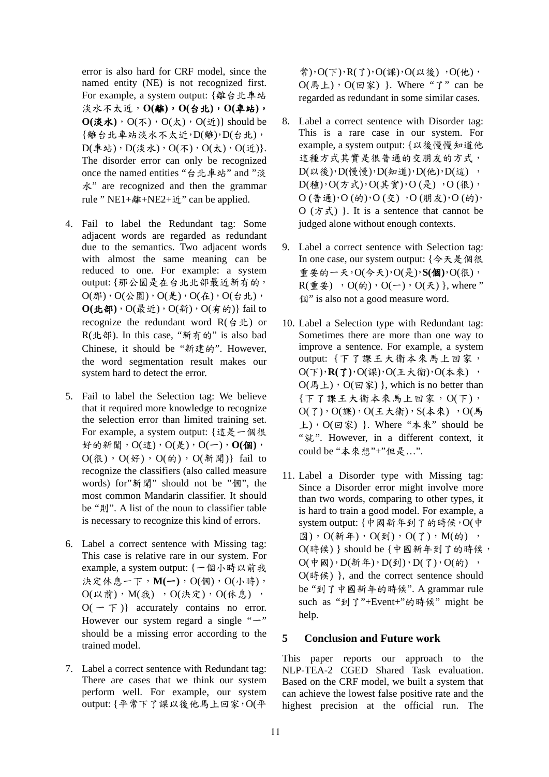error is also hard for CRF model, since the named entity (NE) is not recognized first. For example, a system output: {離台北車站 淡水不太近,**O(**離**)**,**O(**台北**)**,**O(**車站**)**,  $O(\text{\{\&} x) \cdot O(\text{\%}) \cdot O(\text{\{\&}}) \cdot O(\text{\{\&}})$  should be {離台北車站淡水不太近,D(離),D(台北),  $D(\Phi\&C)$ ,  $D(\cancel{x} \times C)$ ,  $O(\bm{\pi})$ ,  $O(\bm{\pi})$ ,  $O(\bm{\hat{w}})$ . The disorder error can only be recognized once the named entities "台北車站" and "淡 水" are recognized and then the grammar rule " NE1+離+NE2+近" can be applied.

- 4. Fail to label the Redundant tag: Some adjacent words are regarded as redundant due to the semantics. Two adjacent words with almost the same meaning can be reduced to one. For example: a system output: {那公園是在台北北部最近新有的,  $O(\text{N})$ ,  $O(\text{N})$ ,  $O(\text{N})$ ,  $O(\text{N})$ ,  $O(\text{N})$ ,  $O(\text{N})$ ,  $O(\text{N})$  $O(\text{1} \cdot \text{1} \cdot \text{1})$ ,  $O(\frac{1}{R} \cdot \text{1} \cdot \text{1})$ ,  $O(\frac{1}{R} \cdot \text{1} \cdot \text{1})$  fail to recognize the redundant word  $R(\triangleq)$  or R(北部). In this case, "新有的" is also bad Chinese, it should be "新建的". However, the word segmentation result makes our system hard to detect the error.
- 5. Fail to label the Selection tag: We believe that it required more knowledge to recognize the selection error than limited training set. For example, a system output: {這是一個很 好的新聞,O(這),O(是),O(一),**O(**個**)**,  $O({\cal R})$ ,  $O({\cal H})$ ,  $O({\cal H})$ ,  $O({\cal H})$ } fail to recognize the classifiers (also called measure words) for"新聞" should not be "個", the most common Mandarin classifier. It should be "則". A list of the noun to classifier table is necessary to recognize this kind of errors.
- 6. Label a correct sentence with Missing tag: This case is relative rare in our system. For example, a system output: {一個小時以前我 決定休息一下,**M(**一**)**,O(個),O(小時),  $O(\text{U}\boxtimes\text{m})$ ,  $M(\text{t}\boxtimes)$ ,  $O(\text{t}\times\text{t}\boxtimes)$ ,  $O(\text{t}\times\text{t}\boxtimes)$ ,  $O(-\top)$  accurately contains no error. However our system regard a single " $-$ " should be a missing error according to the trained model.
- 7. Label a correct sentence with Redundant tag: There are cases that we think our system perform well. For example, our system output: {平常下了課以後他馬上回家,O(平

常), $O(F)$ , $R(T)$ , $O(\mathbb{R})$ , $O(\mathbb{R} \mathcal{E})$ , $O(\mathcal{H})$ ,  $O($  馬上),  $O($  回 家) }. Where " $7$ " can be regarded as redundant in some similar cases.

- 8. Label a correct sentence with Disorder tag: This is a rare case in our system. For example, a system output: {以後慢慢知道他 這種方式其實是很普通的交朋友的方式,  $D( u x$ <br>  $( u \otimes v )$ ,  $D($  慢 慢  $)$ ,  $D($  知 道  $)$ ,  $D($  他  $)$ ,  $D($  這  $)$  $D(\cancel{\#})$ , $O(\cancel{\pi}\cancel{1})$ , $O(\cancel{\pi}\cancel{\#})$ , $O(\cancel{\pi})$ , $O(\frac{\cancel{\pi}}{2})$ ,  $O$  (普通), $O$  (的), $O$  (交) , $O$  (朋友), $O$  (的),  $O$  (方式) }. It is a sentence that cannot be judged alone without enough contexts.
- 9. Label a correct sentence with Selection tag: In one case, our system output: {今天是個很 重要的一天,O(今天),O(是),**S(**個**)**,O(很),  $R(\t{\Phi}\t{\Phi})$  ,  $O(\t{\phi})$ ,  $O(-)$ ,  $O(\t{\Phi})$ }, where " 個" is also not a good measure word.
- 10. Label a Selection type with Redundant tag: Sometimes there are more than one way to improve a sentence. For example, a system output: {下了課王大衛本來馬上回家, O(下),**R(**了**)**,O(課),O(王大衛),O(本來) ,  $O($  馬 上),  $O($  回 家) }, which is no better than {下了課王大衛本來馬上回家,O(下),  $O(7)$ ,  $O(\mathbb{R})$ ,  $O(\pm \mathcal{K})$  ,  $S(\pm \mathcal{R})$  ,  $O(\mathbb{R})$ 上),  $O(\nabla \hat{\mathbf{x}})$  }. Where "本來" should be "就". However, in a different context, it could be "本來想"+"但是…".
- 11. Label a Disorder type with Missing tag: Since a Disorder error might involve more than two words, comparing to other types, it is hard to train a good model. For example, a system output: {中國新年到了的時候,O(中 國), $O(\frac{25}{3} + 0.01)$ ,  $O(7)$ ,  $M(\frac{1}{10})$ ,  $O(f\ddot{\theta})$ } should be {中國新年到了的時候,  $O(\phi \boxtimes)$ ,  $D(\mathfrak{M} \nrightarrow$ ,  $D(\mathfrak{N})$ ,  $D(\mathfrak{N})$ ,  $D(\mathfrak{N})$ ,  $D(\mathfrak{N})$ O(時候) }, and the correct sentence should be "到了中國新年的時候". A grammar rule such as "到了"+Event+"的時候" might be help.

#### **5 Conclusion and Future work**

This paper reports our approach to the NLP-TEA-2 CGED Shared Task evaluation. Based on the CRF model, we built a system that can achieve the lowest false positive rate and the highest precision at the official run. The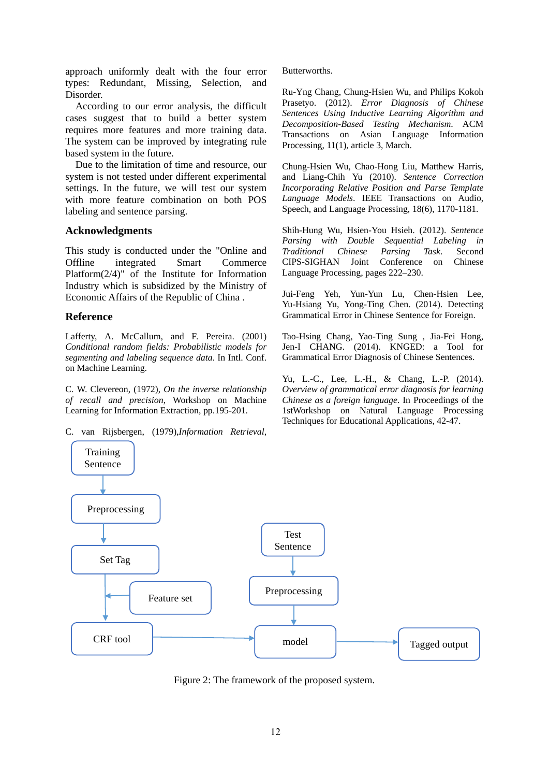approach uniformly dealt with the four error types: Redundant, Missing, Selection, and Disorder.

 According to our error analysis, the difficult cases suggest that to build a better system requires more features and more training data. The system can be improved by integrating rule based system in the future.

Due to the limitation of time and resource, our system is not tested under different experimental settings. In the future, we will test our system with more feature combination on both POS labeling and sentence parsing.

## **Acknowledgments**

This study is conducted under the "Online and Offline integrated Smart Commerce Platform(2/4)" of the Institute for Information Industry which is subsidized by the Ministry of Economic Affairs of the Republic of China .

# **Reference**

Lafferty, A. McCallum, and F. Pereira. (2001) *Conditional random fields: Probabilistic models for segmenting and labeling sequence data*. In Intl. Conf. on Machine Learning.

C. W. Clevereon, (1972), *On the inverse relationship of recall and precision*, Workshop on Machine Learning for Information Extraction, pp.195-201.

C. van Rijsbergen, (1979),*Information Retrieval*,

Butterworths.

Ru-Yng Chang, Chung-Hsien Wu, and Philips Kokoh Prasetyo. (2012). *Error Diagnosis of Chinese Sentences Using Inductive Learning Algorithm and Decomposition-Based Testing Mechanism*. ACM Transactions on Asian Language Information Processing, 11(1), article 3, March.

Chung-Hsien Wu, Chao-Hong Liu, Matthew Harris, and Liang-Chih Yu (2010). *Sentence Correction Incorporating Relative Position and Parse Template Language Models*. IEEE Transactions on Audio, Speech, and Language Processing, 18(6), 1170-1181.

Shih-Hung Wu, Hsien-You Hsieh. (2012). *Sentence Parsing with Double Sequential Labeling in Traditional Chinese Parsing Task*. Second CIPS-SIGHAN Joint Conference on Chinese Language Processing, pages 222–230.

Jui-Feng Yeh, Yun-Yun Lu, Chen-Hsien Lee, Yu-Hsiang Yu, Yong-Ting Chen. (2014). Detecting Grammatical Error in Chinese Sentence for Foreign.

Tao-Hsing Chang, Yao-Ting Sung , Jia-Fei Hong, Jen-I CHANG. (2014). KNGED: a Tool for Grammatical Error Diagnosis of Chinese Sentences.

Yu, L.-C., Lee, L.-H., & Chang, L.-P. (2014). *Overview of grammatical error diagnosis for learning Chinese as a foreign language*. In Proceedings of the 1stWorkshop on Natural Language Processing Techniques for Educational Applications, 42-47.



Figure 2: The framework of the proposed system.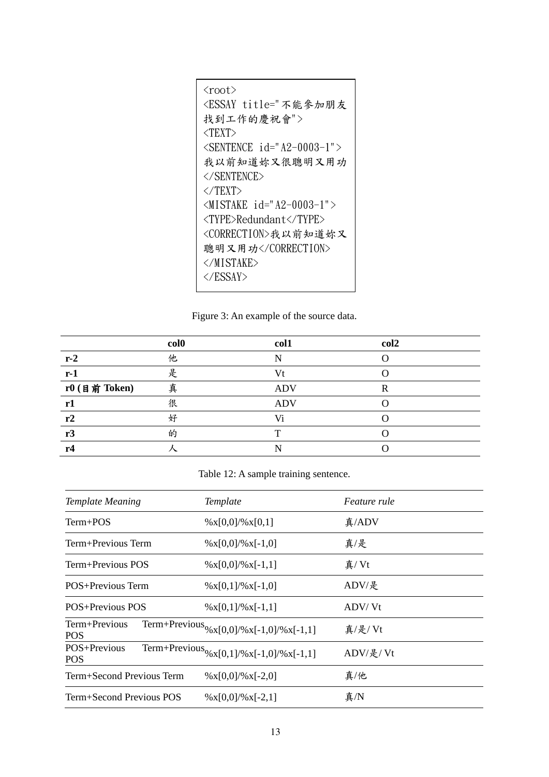| <root><br/><essay title="不能參加朋友&lt;br&gt;找到工作的慶祝會"><br/><math>&lt;</math>TEXT&gt;</essay></root> |
|--------------------------------------------------------------------------------------------------|
| $\langle$ SENTENCE id="A2-0003-1">                                                               |
| 我以前知道妳又很聰明又用功                                                                                    |
| $\langle$ /SENTENCE>                                                                             |
| $\langle$ /TEXT>                                                                                 |
| $\langle$ MISTAKE id="A2-0003-1">                                                                |
| <type>Redundant</type>                                                                           |
| <correction>我以前知道妳又</correction>                                                                 |
| 聰明又用功                                                                                            |
|                                                                                                  |
|                                                                                                  |
|                                                                                                  |

Figure 3: An example of the source data.

|                 | col <sub>0</sub> | col1       | col2 |
|-----------------|------------------|------------|------|
| $r-2$           | 他                | N          |      |
| $r-1$           | 是                | Vt         |      |
| $r0$ (目前 Token) | 真                | <b>ADV</b> | R    |
| r1              | 很                | <b>ADV</b> |      |
| r2              | 好                | Vi         |      |
| r3              | 的                | m          |      |
| r4              |                  |            |      |
|                 |                  |            |      |

Table 12: A sample training sentence.

| <b>Template Meaning</b>     | Template                                                                                                                                                  | <i>Feature rule</i> |
|-----------------------------|-----------------------------------------------------------------------------------------------------------------------------------------------------------|---------------------|
| $Term+POS$                  | $\frac{\%x[0,0]}{\%x[0,1]}$                                                                                                                               | 真/ADV               |
| Term+Previous Term          | $\frac{\%x[0,0]}{\%x[-1,0]}$                                                                                                                              | 真/是                 |
| Term+Previous POS           | $\frac{\%x[0,0]}{\%x[-1,1]}$                                                                                                                              | 真/Vt                |
| POS+Previous Term           | $\frac{9}{8}$ x[0,1]/% x[-1,0]                                                                                                                            | ADV/是               |
| POS+Previous POS            | $\frac{1}{2}$ $\frac{1}{2}$ $\frac{1}{2}$ $\frac{1}{2}$ $\frac{1}{2}$ $\frac{1}{2}$ $\frac{1}{2}$ $\frac{1}{2}$ $\frac{1}{2}$ $\frac{1}{2}$ $\frac{1}{2}$ | ADV/Vt              |
| Term+Previous<br><b>POS</b> | Term+Previous <sub>%X[0,0]/%x[-1,0]/%x[-1,1]</sub>                                                                                                        | 真/是/ Vt             |
| POS+Previous<br><b>POS</b>  | Term+Previous <sub>%X[0,1]/%x[-1,0]/%x[-1,1]</sub>                                                                                                        | ADV/是/Vt            |
| Term+Second Previous Term   | $\frac{\%x[0,0]}{\%x[-2,0]}$                                                                                                                              | 真/他                 |
| Term+Second Previous POS    | $\frac{\%x[0,0]}{\%x[-2,1]}$                                                                                                                              | $\bar{\rm A}$ /N    |